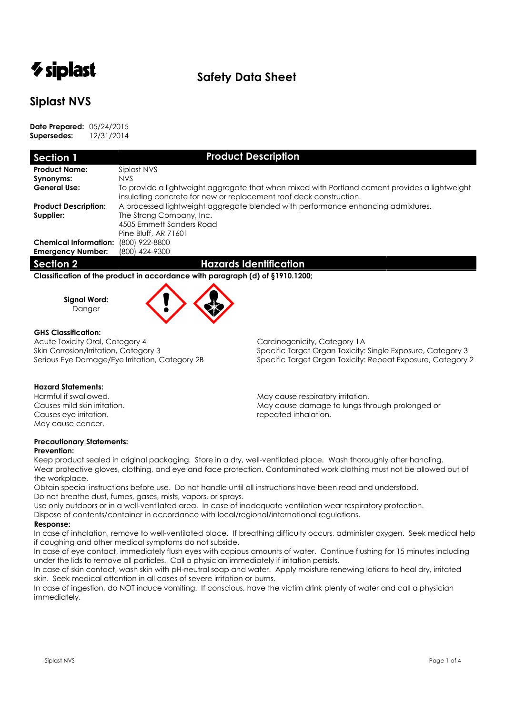# *V* siplast

# **Safety Data Sheet**

# **Siplast NVS**

**Date Prepared:** 05/24/2015 **Supersedes:** 12/31/2014

| Section 1                    | <b>Product Description</b>                                                                                                                                           |  |  |  |  |  |
|------------------------------|----------------------------------------------------------------------------------------------------------------------------------------------------------------------|--|--|--|--|--|
| <b>Product Name:</b>         | Siplast NVS                                                                                                                                                          |  |  |  |  |  |
| Synonyms:                    | NVS.                                                                                                                                                                 |  |  |  |  |  |
| <b>General Use:</b>          | To provide a lightweight aggregate that when mixed with Portland cement provides a lightweight<br>insulating concrete for new or replacement roof deck construction. |  |  |  |  |  |
| <b>Product Description:</b>  | A processed lightweight aggregate blended with performance enhancing admixtures.                                                                                     |  |  |  |  |  |
| Supplier:                    | The Strong Company, Inc.                                                                                                                                             |  |  |  |  |  |
|                              | 4505 Emmett Sanders Road                                                                                                                                             |  |  |  |  |  |
|                              | Pine Bluff, AR 71601                                                                                                                                                 |  |  |  |  |  |
| <b>Chemical Information:</b> | (800) 922-8800                                                                                                                                                       |  |  |  |  |  |
| <b>Emergency Number:</b>     | (800) 424-9300                                                                                                                                                       |  |  |  |  |  |

**Section 2 Hazards Identification** 

**Classification of the product in accordance with paragraph (d) of §1910.1200;** 

**Signal Word:** 



### **GHS Classification:**

Acute Toxicity Oral, Category 4 Carcinogenicity, Category 1A

Skin Corrosion/Irritation, Category 3 Specific Target Organ Toxicity: Single Exposure, Category 3 Serious Eye Damage/Eye Irritation, Category 2B Specific Target Organ Toxicity: Repeat Exposure, Category 2

### **Hazard Statements:**

Causes eye irritation. The contraction of the causes of the causes of the causes of the cause of the cause of the cause of the cause of the cause of the cause of the cause of the cause of the cause of the cause of the caus May cause cancer.

Harmful if swallowed. May cause respiratory irritation. May cause damage to lungs through prolonged or

## **Precautionary Statements:**

### **Prevention:**

Keep product sealed in original packaging. Store in a dry, well-ventilated place. Wash thoroughly after handling. Wear protective gloves, clothing, and eye and face protection. Contaminated work clothing must not be allowed out of the workplace.

Obtain special instructions before use. Do not handle until all instructions have been read and understood. Do not breathe dust, fumes, gases, mists, vapors, or sprays.

Use only outdoors or in a well-ventilated area. In case of inadequate ventilation wear respiratory protection.

## Dispose of contents/container in accordance with local/regional/international regulations.

## **Response:**

In case of inhalation, remove to well-ventilated place. If breathing difficulty occurs, administer oxygen. Seek medical help if coughing and other medical symptoms do not subside.

In case of eye contact, immediately flush eyes with copious amounts of water. Continue flushing for 15 minutes including under the lids to remove all particles. Call a physician immediately if irritation persists.

In case of skin contact, wash skin with pH-neutral soap and water. Apply moisture renewing lotions to heal dry, irritated skin. Seek medical attention in all cases of severe irritation or burns.

In case of ingestion, do NOT induce vomiting. If conscious, have the victim drink plenty of water and call a physician immediately.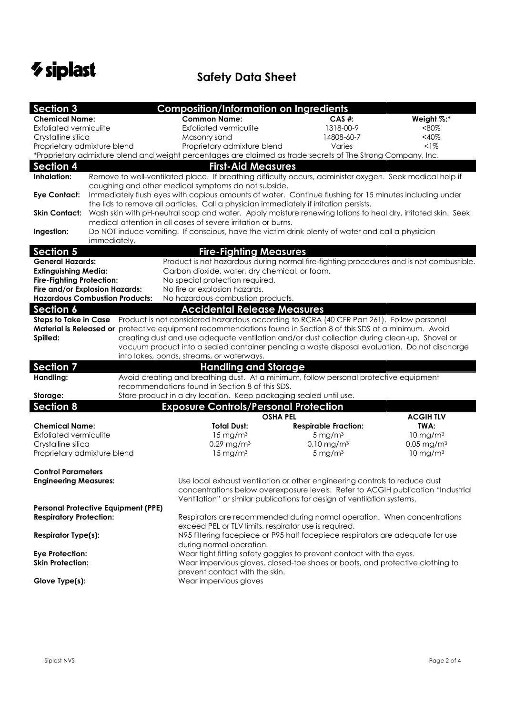

| <b>Section 3</b>                                                                                             |                                                                                                                                                                                                       | <b>Composition/Information on Ingredients</b>                                                                                                                                                |                                               |                          |  |  |  |
|--------------------------------------------------------------------------------------------------------------|-------------------------------------------------------------------------------------------------------------------------------------------------------------------------------------------------------|----------------------------------------------------------------------------------------------------------------------------------------------------------------------------------------------|-----------------------------------------------|--------------------------|--|--|--|
| <b>Chemical Name:</b>                                                                                        |                                                                                                                                                                                                       | <b>Common Name:</b>                                                                                                                                                                          | CAS #:                                        | Weight %:*               |  |  |  |
| <b>Exfoliated vermiculite</b>                                                                                |                                                                                                                                                                                                       | <b>Exfoliated vermiculite</b>                                                                                                                                                                | 1318-00-9                                     | $< 80\%$                 |  |  |  |
| Crystalline silica                                                                                           |                                                                                                                                                                                                       | Masonry sand                                                                                                                                                                                 | 14808-60-7                                    | $<$ 40%                  |  |  |  |
| Proprietary admixture blend                                                                                  |                                                                                                                                                                                                       | Proprietary admixture blend                                                                                                                                                                  | Varies                                        | $1\%$                    |  |  |  |
|                                                                                                              |                                                                                                                                                                                                       | *Proprietary admixture blend and weight percentages are claimed as trade secrets of The Strong Company, Inc.                                                                                 |                                               |                          |  |  |  |
| <b>Section 4</b>                                                                                             |                                                                                                                                                                                                       | <b>First-Aid Measures</b>                                                                                                                                                                    |                                               |                          |  |  |  |
| Inhalation:                                                                                                  | Remove to well-ventilated place. If breathing difficulty occurs, administer oxygen. Seek medical help if                                                                                              |                                                                                                                                                                                              |                                               |                          |  |  |  |
|                                                                                                              | coughing and other medical symptoms do not subside.                                                                                                                                                   |                                                                                                                                                                                              |                                               |                          |  |  |  |
| <b>Eye Contact:</b>                                                                                          | Immediately flush eyes with copious amounts of water. Continue flushing for 15 minutes including under                                                                                                |                                                                                                                                                                                              |                                               |                          |  |  |  |
| <b>Skin Contact:</b>                                                                                         | the lids to remove all particles. Call a physician immediately if irritation persists.<br>Wash skin with pH-neutral soap and water. Apply moisture renewing lotions to heal dry, irritated skin. Seek |                                                                                                                                                                                              |                                               |                          |  |  |  |
|                                                                                                              |                                                                                                                                                                                                       | medical attention in all cases of severe irritation or burns.                                                                                                                                |                                               |                          |  |  |  |
| Ingestion:                                                                                                   |                                                                                                                                                                                                       | Do NOT induce vomiting. If conscious, have the victim drink plenty of water and call a physician                                                                                             |                                               |                          |  |  |  |
|                                                                                                              | immediately.                                                                                                                                                                                          |                                                                                                                                                                                              |                                               |                          |  |  |  |
| <b>Section 5</b>                                                                                             |                                                                                                                                                                                                       | <b>Fire-Fighting Measures</b>                                                                                                                                                                |                                               |                          |  |  |  |
| <b>General Hazards:</b>                                                                                      |                                                                                                                                                                                                       | Product is not hazardous during normal fire-fighting procedures and is not combustible.                                                                                                      |                                               |                          |  |  |  |
| <b>Extinguishing Media:</b>                                                                                  |                                                                                                                                                                                                       |                                                                                                                                                                                              | Carbon dioxide, water, dry chemical, or foam. |                          |  |  |  |
| <b>Fire-Fighting Protection:</b>                                                                             |                                                                                                                                                                                                       | No special protection required.                                                                                                                                                              |                                               |                          |  |  |  |
|                                                                                                              | Fire and/or Explosion Hazards:                                                                                                                                                                        | No fire or explosion hazards.                                                                                                                                                                |                                               |                          |  |  |  |
|                                                                                                              | <b>Hazardous Combustion Products:</b>                                                                                                                                                                 | No hazardous combustion products.                                                                                                                                                            |                                               |                          |  |  |  |
| <b>Section 6</b>                                                                                             |                                                                                                                                                                                                       | <b>Accidental Release Measures</b>                                                                                                                                                           |                                               |                          |  |  |  |
| <b>Steps to Take in Case</b>                                                                                 |                                                                                                                                                                                                       | Product is not considered hazardous according to RCRA (40 CFR Part 261). Follow personal                                                                                                     |                                               |                          |  |  |  |
|                                                                                                              |                                                                                                                                                                                                       | Material is Released or protective equipment recommendations found in Section 8 of this SDS at a minimum. Avoid                                                                              |                                               |                          |  |  |  |
| Spilled:                                                                                                     |                                                                                                                                                                                                       | creating dust and use adequate ventilation and/or dust collection during clean-up. Shovel or<br>vacuum product into a sealed container pending a waste disposal evaluation. Do not discharge |                                               |                          |  |  |  |
|                                                                                                              |                                                                                                                                                                                                       | into lakes, ponds, streams, or waterways.                                                                                                                                                    |                                               |                          |  |  |  |
| <b>Section 7</b>                                                                                             |                                                                                                                                                                                                       | <b>Handling and Storage</b>                                                                                                                                                                  |                                               |                          |  |  |  |
| Handling:                                                                                                    |                                                                                                                                                                                                       | Avoid creating and breathing dust. At a minimum, follow personal protective equipment                                                                                                        |                                               |                          |  |  |  |
|                                                                                                              |                                                                                                                                                                                                       | recommendations found in Section 8 of this SDS.                                                                                                                                              |                                               |                          |  |  |  |
| Storage:                                                                                                     |                                                                                                                                                                                                       | Store product in a dry location. Keep packaging sealed until use.                                                                                                                            |                                               |                          |  |  |  |
| <b>Section 8</b>                                                                                             |                                                                                                                                                                                                       | <b>Exposure Controls/Personal Protection</b>                                                                                                                                                 |                                               |                          |  |  |  |
|                                                                                                              |                                                                                                                                                                                                       | <b>OSHA PEL</b>                                                                                                                                                                              |                                               | <b>ACGIHTLV</b>          |  |  |  |
| <b>Chemical Name:</b>                                                                                        |                                                                                                                                                                                                       | <b>Total Dust:</b>                                                                                                                                                                           | <b>Respirable Fraction:</b>                   | TWA:                     |  |  |  |
| <b>Exfoliated vermiculite</b>                                                                                |                                                                                                                                                                                                       | $15$ mg/m <sup>3</sup>                                                                                                                                                                       | $5 \text{ mg/m}^3$                            | $10 \text{ mg/m}^3$      |  |  |  |
| Crystalline silica                                                                                           |                                                                                                                                                                                                       | $0.29$ mg/m $3$                                                                                                                                                                              | $0.10$ mg/m <sup>3</sup>                      | $0.05$ mg/m <sup>3</sup> |  |  |  |
| Proprietary admixture blend                                                                                  |                                                                                                                                                                                                       | $15 \text{ mg/m}^3$                                                                                                                                                                          | $5 \text{ mg/m}^3$                            | 10 mg/m $3$              |  |  |  |
|                                                                                                              |                                                                                                                                                                                                       |                                                                                                                                                                                              |                                               |                          |  |  |  |
| <b>Control Parameters</b>                                                                                    |                                                                                                                                                                                                       |                                                                                                                                                                                              |                                               |                          |  |  |  |
| <b>Engineering Measures:</b>                                                                                 |                                                                                                                                                                                                       | Use local exhaust ventilation or other engineering controls to reduce dust<br>concentrations below overexposure levels. Refer to ACGIH publication "Industrial                               |                                               |                          |  |  |  |
|                                                                                                              |                                                                                                                                                                                                       | Ventilation" or similar publications for design of ventilation systems.                                                                                                                      |                                               |                          |  |  |  |
|                                                                                                              | <b>Personal Protective Equipment (PPE)</b>                                                                                                                                                            |                                                                                                                                                                                              |                                               |                          |  |  |  |
| <b>Respiratory Protection:</b>                                                                               |                                                                                                                                                                                                       | Respirators are recommended during normal operation. When concentrations                                                                                                                     |                                               |                          |  |  |  |
|                                                                                                              |                                                                                                                                                                                                       | exceed PEL or TLV limits, respirator use is required.                                                                                                                                        |                                               |                          |  |  |  |
| N95 filtering facepiece or P95 half facepiece respirators are adequate for use<br><b>Respirator Type(s):</b> |                                                                                                                                                                                                       |                                                                                                                                                                                              |                                               |                          |  |  |  |
| during normal operation.                                                                                     |                                                                                                                                                                                                       |                                                                                                                                                                                              |                                               |                          |  |  |  |
| Wear tight fitting safety goggles to prevent contact with the eyes.<br><b>Eye Protection:</b>                |                                                                                                                                                                                                       |                                                                                                                                                                                              |                                               |                          |  |  |  |
| <b>Skin Protection:</b><br>Wear impervious gloves, closed-toe shoes or boots, and protective clothing to     |                                                                                                                                                                                                       |                                                                                                                                                                                              |                                               |                          |  |  |  |
| Glove Type(s):                                                                                               |                                                                                                                                                                                                       | prevent contact with the skin.<br>Wear impervious gloves                                                                                                                                     |                                               |                          |  |  |  |
|                                                                                                              |                                                                                                                                                                                                       |                                                                                                                                                                                              |                                               |                          |  |  |  |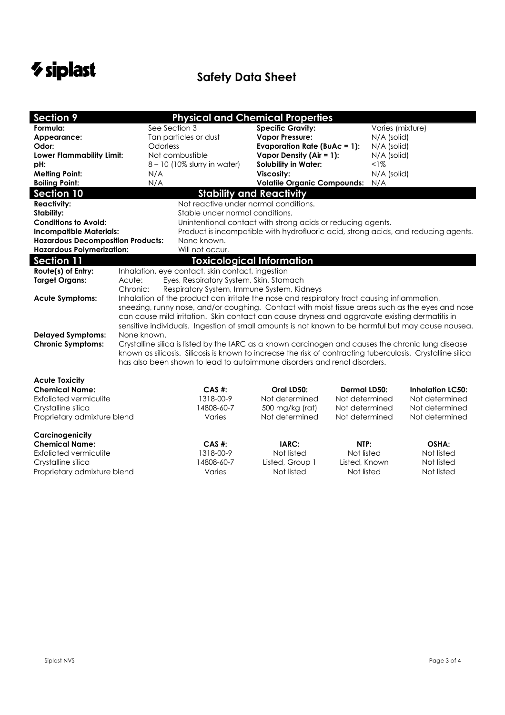# *V* **siplast** Safety Data Sheet

| <b>Section 9</b>                         |                                                                                                                                                                                                                                               | <b>Physical and Chemical Properties</b>                                                        |                                                             |                     |                                                                                                    |  |  |  |  |
|------------------------------------------|-----------------------------------------------------------------------------------------------------------------------------------------------------------------------------------------------------------------------------------------------|------------------------------------------------------------------------------------------------|-------------------------------------------------------------|---------------------|----------------------------------------------------------------------------------------------------|--|--|--|--|
| Formula:                                 |                                                                                                                                                                                                                                               | See Section 3                                                                                  | <b>Specific Gravity:</b>                                    |                     | Varies (mixture)                                                                                   |  |  |  |  |
| Appearance:                              |                                                                                                                                                                                                                                               | Tan particles or dust                                                                          | <b>Vapor Pressure:</b>                                      |                     | N/A (solid)                                                                                        |  |  |  |  |
| Odor:                                    |                                                                                                                                                                                                                                               | Odorless                                                                                       | <b>Evaporation Rate (BuAc = 1):</b>                         |                     | N/A (solid)                                                                                        |  |  |  |  |
| Lower Flammability Limit:                |                                                                                                                                                                                                                                               | Not combustible                                                                                | Vapor Density (Air = $1$ ):                                 |                     | N/A (solid)                                                                                        |  |  |  |  |
| pH:                                      |                                                                                                                                                                                                                                               | 8 - 10 (10% slurry in water)                                                                   | <b>Solubility in Water:</b>                                 |                     | <1%                                                                                                |  |  |  |  |
| <b>Melting Point:</b>                    | N/A                                                                                                                                                                                                                                           |                                                                                                | Viscosity:                                                  |                     | N/A (solid)                                                                                        |  |  |  |  |
| <b>Boiling Point:</b>                    | N/A                                                                                                                                                                                                                                           |                                                                                                | <b>Volatile Organic Compounds:</b>                          | N/A                 |                                                                                                    |  |  |  |  |
| <b>Section 10</b>                        |                                                                                                                                                                                                                                               |                                                                                                | <b>Stability and Reactivity</b>                             |                     |                                                                                                    |  |  |  |  |
| <b>Reactivity:</b>                       |                                                                                                                                                                                                                                               |                                                                                                | Not reactive under normal conditions.                       |                     |                                                                                                    |  |  |  |  |
| Stability:                               |                                                                                                                                                                                                                                               |                                                                                                | Stable under normal conditions.                             |                     |                                                                                                    |  |  |  |  |
| <b>Conditions to Avoid:</b>              |                                                                                                                                                                                                                                               |                                                                                                | Unintentional contact with strong acids or reducing agents. |                     |                                                                                                    |  |  |  |  |
| <b>Incompatible Materials:</b>           |                                                                                                                                                                                                                                               |                                                                                                |                                                             |                     | Product is incompatible with hydrofluoric acid, strong acids, and reducing agents.                 |  |  |  |  |
| <b>Hazardous Decomposition Products:</b> |                                                                                                                                                                                                                                               | None known.                                                                                    |                                                             |                     |                                                                                                    |  |  |  |  |
| <b>Hazardous Polymerization:</b>         |                                                                                                                                                                                                                                               | Will not occur.                                                                                |                                                             |                     |                                                                                                    |  |  |  |  |
| <b>Section 11</b>                        |                                                                                                                                                                                                                                               |                                                                                                | <b>Toxicological Information</b>                            |                     |                                                                                                    |  |  |  |  |
| Route(s) of Entry:                       |                                                                                                                                                                                                                                               | Inhalation, eye contact, skin contact, ingestion                                               |                                                             |                     |                                                                                                    |  |  |  |  |
| <b>Target Organs:</b>                    | Acute:                                                                                                                                                                                                                                        | Eyes, Respiratory System, Skin, Stomach                                                        |                                                             |                     |                                                                                                    |  |  |  |  |
|                                          | Chronic:                                                                                                                                                                                                                                      | Respiratory System, Immune System, Kidneys                                                     |                                                             |                     |                                                                                                    |  |  |  |  |
| <b>Acute Symptoms:</b>                   |                                                                                                                                                                                                                                               | Inhalation of the product can irritate the nose and respiratory tract causing inflammation,    |                                                             |                     |                                                                                                    |  |  |  |  |
|                                          | sneezing, runny nose, and/or coughing. Contact with moist tissue areas such as the eyes and nose                                                                                                                                              |                                                                                                |                                                             |                     |                                                                                                    |  |  |  |  |
|                                          |                                                                                                                                                                                                                                               | can cause mild irritation. Skin contact can cause dryness and aggravate existing dermatitis in |                                                             |                     |                                                                                                    |  |  |  |  |
|                                          |                                                                                                                                                                                                                                               |                                                                                                |                                                             |                     | sensitive individuals. Ingestion of small amounts is not known to be harmful but may cause nausea. |  |  |  |  |
| <b>Delayed Symptoms:</b>                 | None known.                                                                                                                                                                                                                                   |                                                                                                |                                                             |                     |                                                                                                    |  |  |  |  |
|                                          | <b>Chronic Symptoms:</b><br>Crystalline silica is listed by the IARC as a known carcinogen and causes the chronic lung disease<br>known as silicosis. Silicosis is known to increase the risk of contracting tuberculosis. Crystalline silica |                                                                                                |                                                             |                     |                                                                                                    |  |  |  |  |
|                                          |                                                                                                                                                                                                                                               | has also been shown to lead to autoimmune disorders and renal disorders.                       |                                                             |                     |                                                                                                    |  |  |  |  |
|                                          |                                                                                                                                                                                                                                               |                                                                                                |                                                             |                     |                                                                                                    |  |  |  |  |
| <b>Acute Toxicity</b>                    |                                                                                                                                                                                                                                               |                                                                                                |                                                             |                     |                                                                                                    |  |  |  |  |
| <b>Chemical Name:</b>                    |                                                                                                                                                                                                                                               | CAS #:                                                                                         | Oral LD50:                                                  | <b>Dermal LD50:</b> | <b>Inhalation LC50:</b>                                                                            |  |  |  |  |
| <b>Exfoliated vermiculite</b>            |                                                                                                                                                                                                                                               | 1318-00-9                                                                                      | Not determined                                              | Not determined      | Not determined                                                                                     |  |  |  |  |
| Crystalline silica                       |                                                                                                                                                                                                                                               | 14808-60-7                                                                                     | 500 mg/kg (rat)                                             | Not determined      | Not determined                                                                                     |  |  |  |  |
| Proprietary admixture blend              |                                                                                                                                                                                                                                               | Varies                                                                                         | Not determined                                              | Not determined      | Not determined                                                                                     |  |  |  |  |
|                                          |                                                                                                                                                                                                                                               |                                                                                                |                                                             |                     |                                                                                                    |  |  |  |  |
| Carcinogenicity                          |                                                                                                                                                                                                                                               |                                                                                                |                                                             |                     |                                                                                                    |  |  |  |  |
| <b>Chemical Name:</b>                    |                                                                                                                                                                                                                                               | CAS #:                                                                                         | IARC:                                                       | NTP:                | OSHA:                                                                                              |  |  |  |  |
| <b>Exfoliated vermiculite</b>            |                                                                                                                                                                                                                                               | 1318-00-9                                                                                      | Not listed                                                  | Not listed          | Not listed                                                                                         |  |  |  |  |
| Crystalline silica                       |                                                                                                                                                                                                                                               | 14808-60-7                                                                                     | Listed, Group 1                                             | Listed, Known       | Not listed                                                                                         |  |  |  |  |
| Proprietary admixture blend              |                                                                                                                                                                                                                                               | Varies                                                                                         | Not listed                                                  | Not listed          | Not listed                                                                                         |  |  |  |  |